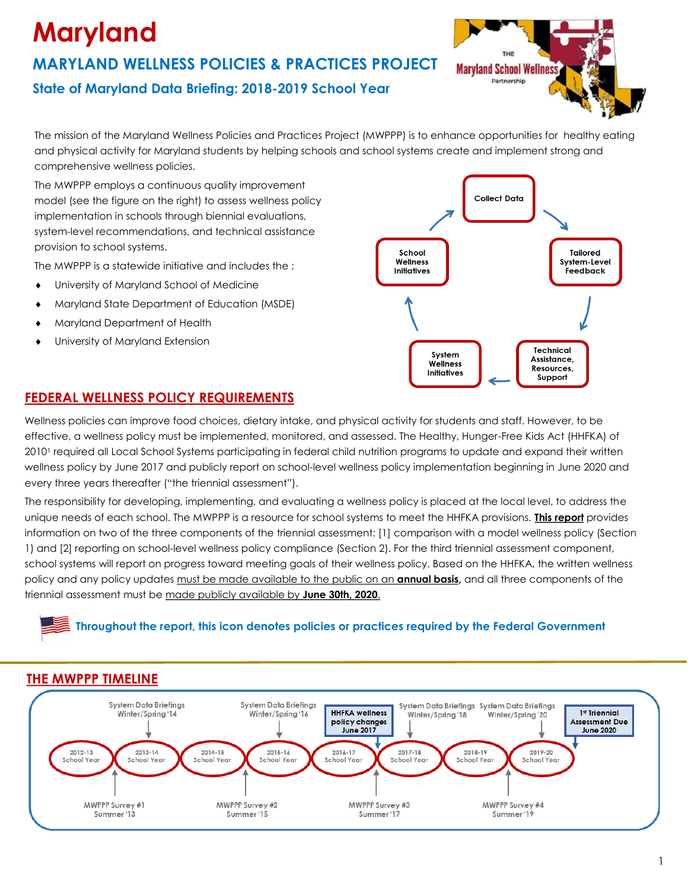# **Maryland**

### **MARYLAND WELLNESS POLICIES & PRACTICES PROJECT State of Maryland Data Briefing: 2018-2019 School Year**

The mission of the Maryland Wellness Policies and Practices Project (MWPPP) is to enhance opportunities for healthy eating and physical activity for Maryland students by helping schools and school systems create and implement strong and comprehensive wellness policies.

The MWPPP employs a continuous quality improvement model (see the figure on the right) to assess wellness policy implementation in schools through biennial evaluations, system-level recommendations, and technical assistance provision to school systems.

The MWPPP is a statewide initiative and includes the :

- University of Maryland School of Medicine
- Maryland State Department of Education (MSDE)
- Maryland Department of Health
- University of Maryland Extension



**Maryland School Wellnes** Partnership

#### **FEDERAL WELLNESS POLICY REQUIREMENTS**

Wellness policies can improve food choices, dietary intake, and physical activity for students and staff. However, to be effective, a wellness policy must be implemented, monitored, and assessed. The Healthy, Hunger-Free Kids Act (HHFKA) of 2010<sup>1</sup> required all Local School Systems participating in federal child nutrition programs to update and expand their written wellness policy by June 2017 and publicly report on school-level wellness policy implementation beginning in June 2020 and every three years thereafter ("the triennial assessment").

The responsibility for developing, implementing, and evaluating a wellness policy is placed at the local level, to address the unique needs of each school. The MWPPP is a resource for school systems to meet the HHFKA provisions. **This report** provides information on two of the three components of the triennial assessment: [1] comparison with a model wellness policy (Section 1) and [2] reporting on school-level wellness policy compliance (Section 2). For the third triennial assessment component, school systems will report on progress toward meeting goals of their wellness policy. Based on the HHFKA, the written wellness policy and any policy updates must be made available to the public on an **annual basis,** and all three components of the triennial assessment must be made publicly available by **June 30th, 2020**.

#### **Throughout the report, this icon denotes policies or practices required by the Federal Government**



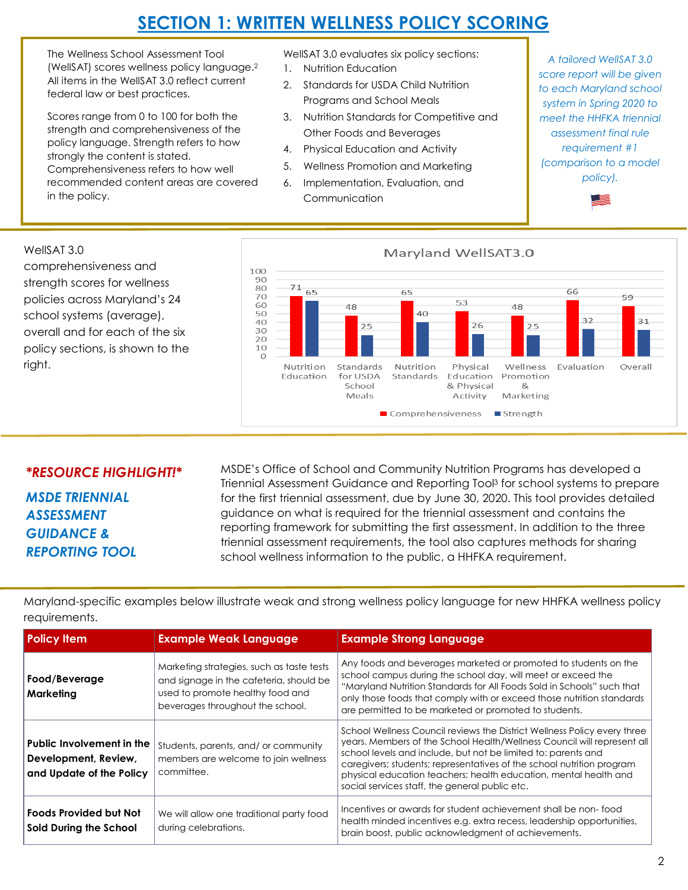# **SECTION 1: WRITTEN WELLNESS POLICY SCORING**

The Wellness School Assessment Tool (WellSAT) scores wellness policy language.<sup>2</sup> All items in the WellSAT 3.0 reflect current federal law or best practices.

Scores range from 0 to 100 for both the strength and comprehensiveness of the policy language. Strength refers to how strongly the content is stated. Comprehensiveness refers to how well recommended content areas are covered in the policy.

- WellSAT 3.0 evaluates six policy sections: 1. Nutrition Education
- 2. Standards for USDA Child Nutrition Programs and School Meals
- 3. Nutrition Standards for Competitive and Other Foods and Beverages
- 4. Physical Education and Activity
- 5. Wellness Promotion and Marketing
- 6. Implementation, Evaluation, and Communication

*A tailored WellSAT 3.0 score report will be given to each Maryland school system in Spring 2020 to meet the HHFKA triennial assessment final rule requirement #1 (comparison to a model policy).*





#### *\*RESOURCE HIGHLIGHT!\**

*MSDE TRIENNIAL ASSESSMENT GUIDANCE & REPORTING TOOL*

right.

MSDE's Office of School and Community Nutrition Programs has developed a Triennial Assessment Guidance and Reporting Tool<sup>3</sup> for school systems to prepare for the first triennial assessment, due by June 30, 2020. This tool provides detailed guidance on what is required for the triennial assessment and contains the reporting framework for submitting the first assessment. In addition to the three triennial assessment requirements, the tool also captures methods for sharing school wellness information to the public, a HHFKA requirement.

**Policy Item Example Weak Language Example Strong Language Food/Beverage**  Marketing strategies, such as taste tests and signage in the cafeteria, should be Any foods and beverages marketed or promoted to students on the school campus during the school day, will meet or exceed the "Maryland Nutrition Standards for All Foods Sold in Schools" such that

Maryland-specific examples below illustrate weak and strong wellness policy language for new HHFKA wellness policy requirements.

| Food/Beverage<br>Marketing                                                    | Marketing strategies, such as taste tests<br>and signage in the cafeteria, should be<br>used to promote healthy food and<br>beverages throughout the school. | Any foods and beverages marketed or promoted to students on the<br>school campus during the school day, will meet or exceed the<br>"Maryland Nutrition Standards for All Foods Sold in Schools" such that<br>only those foods that comply with or exceed those nutrition standards<br>are permitted to be marketed or promoted to students.                                                                         |
|-------------------------------------------------------------------------------|--------------------------------------------------------------------------------------------------------------------------------------------------------------|---------------------------------------------------------------------------------------------------------------------------------------------------------------------------------------------------------------------------------------------------------------------------------------------------------------------------------------------------------------------------------------------------------------------|
| Public Involvement in the<br>Development, Review,<br>and Update of the Policy | Students, parents, and/ or community<br>members are welcome to join wellness<br>committee.                                                                   | School Wellness Council reviews the District Wellness Policy every three<br>years. Members of the School Health/Wellness Council will represent all<br>school levels and include, but not be limited to: parents and<br>caregivers; students; representatives of the school nutrition program<br>physical education teachers; health education, mental health and<br>social services staff, the general public etc. |
| <b>Foods Provided but Not</b><br>Sold During the School                       | We will allow one traditional party food<br>during celebrations.                                                                                             | Incentives or awards for student achievement shall be non-food<br>health minded incentives e.g. extra recess, leadership opportunities,<br>brain boost, public acknowledgment of achievements.                                                                                                                                                                                                                      |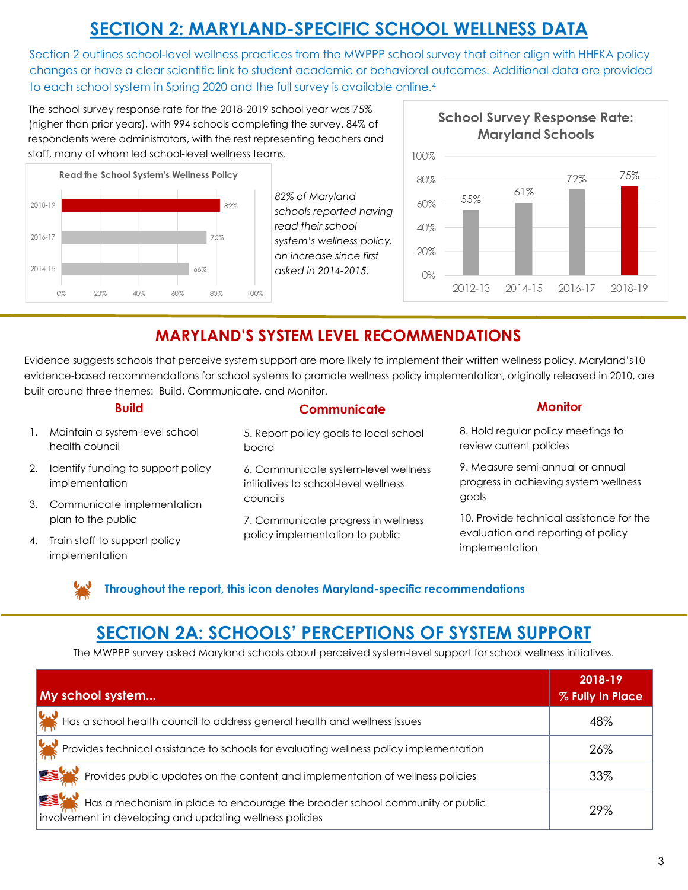# **SECTION 2: MARYLAND-SPECIFIC SCHOOL WELLNESS DATA**

Section 2 outlines school-level wellness practices from the MWPPP school survey that either align with HHFKA policy changes or have a clear scientific link to student academic or behavioral outcomes. Additional data are provided to each school system in Spring 2020 and the full survey is available online.<sup>4</sup>

The school survey response rate for the 2018-2019 school year was 75% (higher than prior years), with 994 schools completing the survey. 84% of respondents were administrators, with the rest representing teachers and staff, many of whom led school-level wellness teams.



*82% of Maryland schools reported having read their school system's wellness policy, an increase since first asked in 2014-2015.*



### **MARYLAND'S SYSTEM LEVEL RECOMMENDATIONS**

Evidence suggests schools that perceive system support are more likely to implement their written wellness policy. Maryland's10 evidence-based recommendations for school systems to promote wellness policy implementation, originally released in 2010, are built around three themes: Build, Communicate, and Monitor.

| <b>Build</b>                                            | <b>Communicate</b>                                                           | <b>Monitor</b>                                                            |
|---------------------------------------------------------|------------------------------------------------------------------------------|---------------------------------------------------------------------------|
| 1. Maintain a system-level school<br>health council     | 5. Report policy goals to local school<br>board                              | 8. Hold regular policy meetings to<br>review current policies             |
| 2. Identify funding to support policy<br>implementation | 6. Communicate system-level wellness<br>initiatives to school-level wellness | 9. Measure semi-annual or annual<br>progress in achieving system wellness |
| 3. Communicate implementation                           | councils                                                                     | goals                                                                     |
| plan to the public                                      | 7. Communicate progress in wellness                                          | 10. Provide technical assistance for the                                  |
| 4. Train staff to support policy<br>implementation      | policy implementation to public                                              | evaluation and reporting of policy<br>implementation                      |

**Throughout the report, this icon denotes Maryland-specific recommendations** 

## **SECTION 2A: SCHOOLS' PERCEPTIONS OF SYSTEM SUPPORT**

The MWPPP survey asked Maryland schools about perceived system-level support for school wellness initiatives.

| My school system                                                                                                                         | 2018-19<br>% Fully In Place |
|------------------------------------------------------------------------------------------------------------------------------------------|-----------------------------|
| Has a school health council to address general health and wellness issues                                                                | 48%                         |
| Provides technical assistance to schools for evaluating wellness policy implementation                                                   | 26%                         |
| Provides public updates on the content and implementation of wellness policies                                                           | 33%                         |
| Has a mechanism in place to encourage the broader school community or public<br>involvement in developing and updating wellness policies | 29%                         |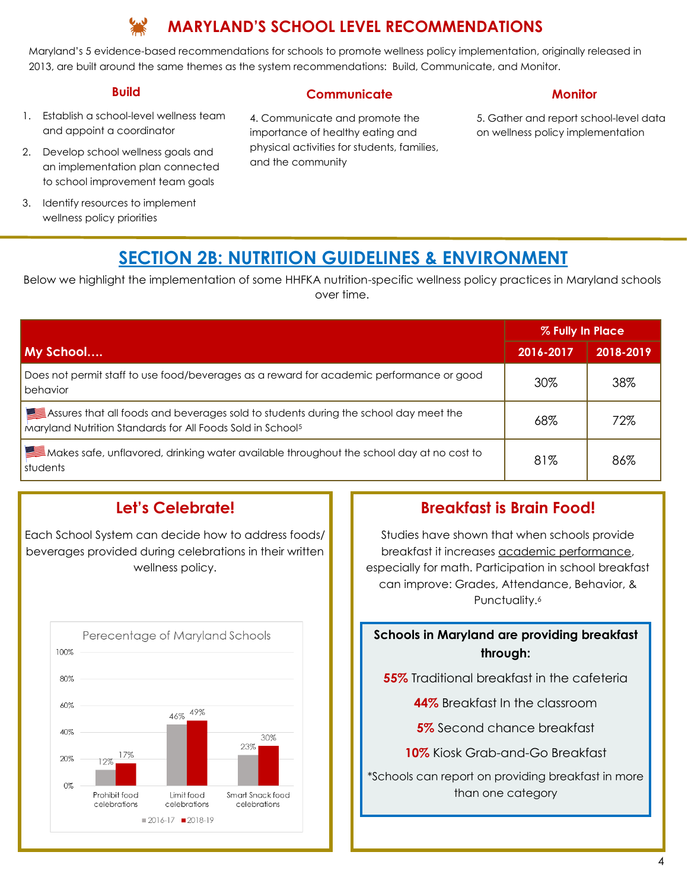### **MARYLAND'S SCHOOL LEVEL RECOMMENDATIONS**

Maryland's 5 evidence-based recommendations for schools to promote wellness policy implementation, originally released in 2013, are built around the same themes as the system recommendations: Build, Communicate, and Monitor.

#### **Build**

**Communicate** 

#### 1. Establish a school-level wellness team and appoint a coordinator

- 2. Develop school wellness goals and an implementation plan connected to school improvement team goals
- 3. Identify resources to implement wellness policy priorities

#### 4. Communicate and promote the importance of healthy eating and physical activities for students, families, and the community

#### **Monitor**

5. Gather and report school-level data on wellness policy implementation

### **SECTION 2B: NUTRITION GUIDELINES & ENVIRONMENT**

Below we highlight the implementation of some HHFKA nutrition-specific wellness policy practices in Maryland schools over time.

|                                                                                                                                                                | % Fully In Place |           |  |
|----------------------------------------------------------------------------------------------------------------------------------------------------------------|------------------|-----------|--|
| My School                                                                                                                                                      | 2016-2017        | 2018-2019 |  |
| Does not permit staff to use food/beverages as a reward for academic performance or good<br>behavior                                                           | 30%              | 38%       |  |
| Assures that all foods and beverages sold to students during the school day meet the<br>Maryland Nutrition Standards for All Foods Sold in School <sup>5</sup> | 68%              | 72%       |  |
| Makes safe, unflavored, drinking water available throughout the school day at no cost to<br>students                                                           | 81%              | 86%       |  |

### **Let's Celebrate!**

Each School System can decide how to address foods/ beverages provided during celebrations in their written wellness policy.



### **Breakfast is Brain Food!**

Studies have shown that when schools provide breakfast it increases academic performance, especially for math. Participation in school breakfast can improve: Grades, Attendance, Behavior, & Punctuality.<sup>6</sup>

#### **Schools in Maryland are providing breakfast through:**

**55%** Traditional breakfast in the cafeteria

**44%** Breakfast In the classroom

**5%** Second chance breakfast

**10%** Kiosk Grab-and-Go Breakfast

\*Schools can report on providing breakfast in more than one category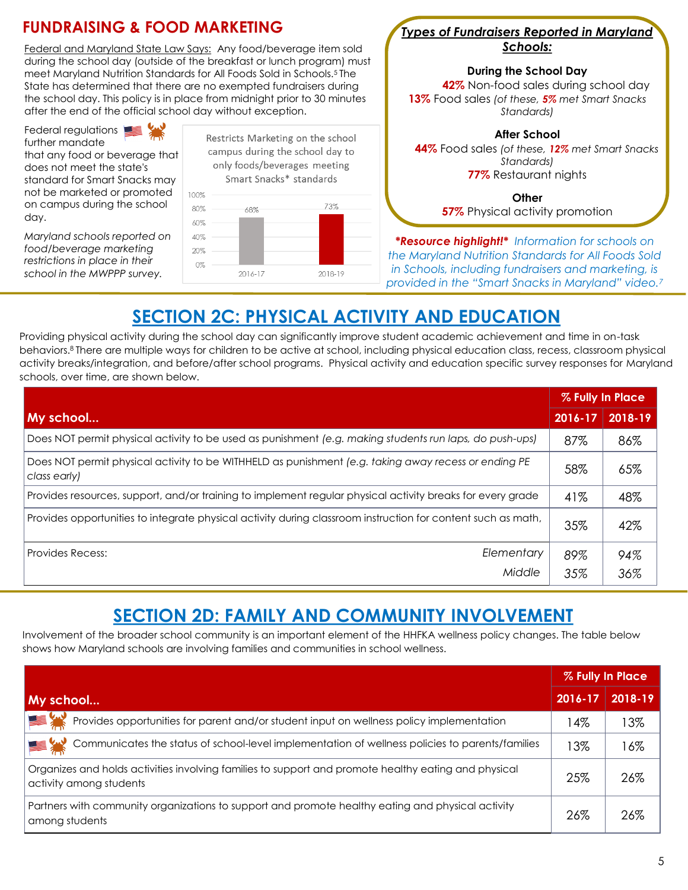

### **SECTION 2C: PHYSICAL ACTIVITY AND EDUCATION**

Providing physical activity during the school day can significantly improve student academic achievement and time in on-task behaviors.8 There are multiple ways for children to be active at school, including physical education class, recess, classroom physical activity breaks/integration, and before/after school programs. Physical activity and education specific survey responses for Maryland schools, over time, are shown below.

|                                                                                                                      | % Fully In Place |         |
|----------------------------------------------------------------------------------------------------------------------|------------------|---------|
| $\mathsf{M}$ y school                                                                                                | $2016 - 17$      | 2018-19 |
| Does NOT permit physical activity to be used as punishment (e.g. making students run laps, do push-ups)              | 87%              | 86%     |
| Does NOT permit physical activity to be WITHHELD as punishment (e.g. taking away recess or ending PE<br>class early) | 58%              | 65%     |
| Provides resources, support, and/or training to implement regular physical activity breaks for every grade           | 41%              | 48%     |
| Provides opportunities to integrate physical activity during classroom instruction for content such as math,         | 35%              | 42%     |
| Elementary<br><b>Provides Recess:</b>                                                                                | 89%              | 94%     |
| Middle                                                                                                               | 35%              | 36%     |

## **SECTION 2D: FAMILY AND COMMUNITY INVOLVEMENT**

Involvement of the broader school community is an important element of the HHFKA wellness policy changes. The table below shows how Maryland schools are involving families and communities in school wellness.

|                                                                                                                                 | % Fully In Place |         |
|---------------------------------------------------------------------------------------------------------------------------------|------------------|---------|
| My school                                                                                                                       | 2016-17          | 2018-19 |
| 高米<br>Provides opportunities for parent and/or student input on wellness policy implementation                                  | 4%               | $3\%$   |
| <b>图</b> 卷<br>Communicates the status of school-level implementation of wellness policies to parents/families                   | 13%              | 16%     |
| Organizes and holds activities involving families to support and promote healthy eating and physical<br>activity among students | 25%              | 26%     |
| Partners with community organizations to support and promote healthy eating and physical activity<br>among students             | 26%              | 26%     |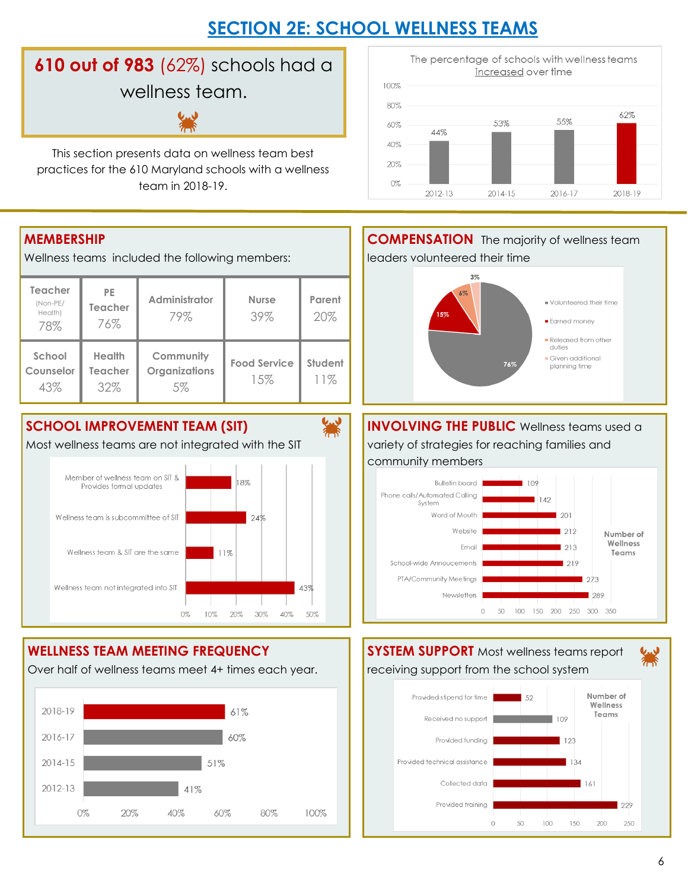# **SECTION 2E: SCHOOL WELLNESS TEAMS**

纂

# **610 out of 983** (62%) schools had a wellness team.

This section presents data on wellness team best practices for the 610 Maryland schools with a wellness team in 2018-19.



Wellness teams included the following members:

| <b>Teacher</b><br>(Non-PE/<br>Health)<br>78% | <b>PE</b><br>Teacher<br>76%     | Administrator<br>79%             | <b>Nurse</b><br>39%        | Parent<br>20%  |
|----------------------------------------------|---------------------------------|----------------------------------|----------------------------|----------------|
| School<br>Counselor<br>43%                   | <b>Health</b><br>Teacher<br>32% | Community<br>Organizations<br>5% | <b>Food Service</b><br>15% | Student<br>11% |

### **SCHOOL IMPROVEMENT TEAM (SIT)**

Most wellness teams are not integrated with the SIT



### **WELLNESS TEAM MEETING FREQUENCY**

Over half of wellness teams meet 4+ times each year.







Collected data

Provided training

50

 $\Omega$ 

100

161

200

1.50

229

250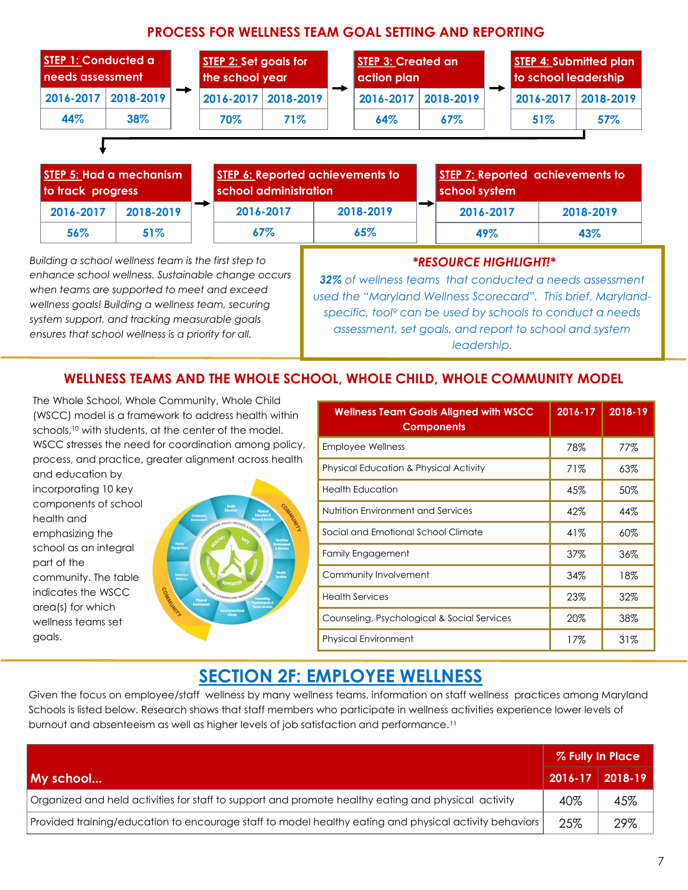#### **PROCESS FOR WELLNESS TEAM GOAL SETTING AND REPORTING**

| <b>STEP 1: Conducted a</b><br>needs assessment |           | <b>STEP 2: Set goals for</b><br>the school year |                     | <b>STEP 3: Created an</b><br>  action plan |     | <b>STEP 4: Submitted plan</b><br>to school leadership |     |
|------------------------------------------------|-----------|-------------------------------------------------|---------------------|--------------------------------------------|-----|-------------------------------------------------------|-----|
| $2016 - 2017$                                  | 2018-2019 |                                                 | 2016-2017 2018-2019 | 2016-2017 2018-2019                        |     | $2016 - 2017$ 2018-2019                               |     |
| 44%                                            | 38%       | 70%                                             | 71%                 | 64%                                        | 67% | 51%                                                   | 57% |

|           | STEP 5: Had a mechanism<br>to track progress |  |           | <b>STEP 6: Reported achievements to</b><br>school administration |  |           | <b>STEP 7: Reported achievements to</b><br>school system |  |  |
|-----------|----------------------------------------------|--|-----------|------------------------------------------------------------------|--|-----------|----------------------------------------------------------|--|--|
| 2016-2017 | 2018-2019                                    |  | 2016-2017 | 2018-2019                                                        |  | 2016-2017 | 2018-2019                                                |  |  |
| 56%       | 51%                                          |  | 67%       | 65%                                                              |  | 49%       | 43%                                                      |  |  |

*Building a school wellness team is the first step to enhance school wellness. Sustainable change occurs when teams are supported to meet and exceed wellness goals! Building a wellness team, securing system support, and tracking measurable goals ensures that school wellness is a priority for all.* 

#### *\*RESOURCE HIGHLIGHT!\**

*32% of wellness teams that conducted a needs assessment used the "Maryland Wellness Scorecard". This brief, Marylandspecific, tool<sup>9</sup> can be used by schools to conduct a needs assessment, set goals, and report to school and system leadership.*

#### **WELLNESS TEAMS AND THE WHOLE SCHOOL, WHOLE CHILD, WHOLE COMMUNITY MODEL**

The Whole School, Whole Community, Whole Child (WSCC) model is a framework to address health within schools,<sup>10</sup> with students, at the center of the model. WSCC stresses the need for coordination among policy, process, and practice, greater alignment across health

and education by incorporating 10 key components of school health and emphasizing the school as an integral part of the community. The table indicates the WSCC area(s) for which wellness teams set goals.



| <b>Wellness Team Goals Aligned with WSCC</b><br><b>Components</b> | 2016-17 | 2018-19 |
|-------------------------------------------------------------------|---------|---------|
| <b>Employee Wellness</b>                                          | 78%     | 77%     |
| <b>Physical Education &amp; Physical Activity</b>                 | 71%     | 63%     |
| <b>Health Education</b>                                           | 45%     | 50%     |
| Nutrition Environment and Services                                | 42%     | 44%     |
| Social and Emotional School Climate                               | 41%     | 60%     |
| <b>Family Engagement</b>                                          | 37%     | 36%     |
| Community Involvement                                             | 34%     | 18%     |
| <b>Health Services</b>                                            | 23%     | 32%     |
| Counseling, Psychological & Social Services                       | 20%     | 38%     |
| <b>Physical Environment</b>                                       | 17%     | 31%     |

### **SECTION 2F: EMPLOYEE WELLNESS**

Given the focus on employee/staff wellness by many wellness teams, information on staff wellness practices among Maryland Schools is listed below. Research shows that staff members who participate in wellness activities experience lower levels of burnout and absenteeism as well as higher levels of job satisfaction and performance.<sup>11</sup>

|                                                                                                        |     | % Fully In Place      |  |  |
|--------------------------------------------------------------------------------------------------------|-----|-----------------------|--|--|
| My school                                                                                              |     | $2016 - 17$   2018-19 |  |  |
| Organized and held activities for staff to support and promote healthy eating and physical activity    | 40% | 45%                   |  |  |
| Provided training/education to encourage staff to model healthy eating and physical activity behaviors | 25% | 29%                   |  |  |